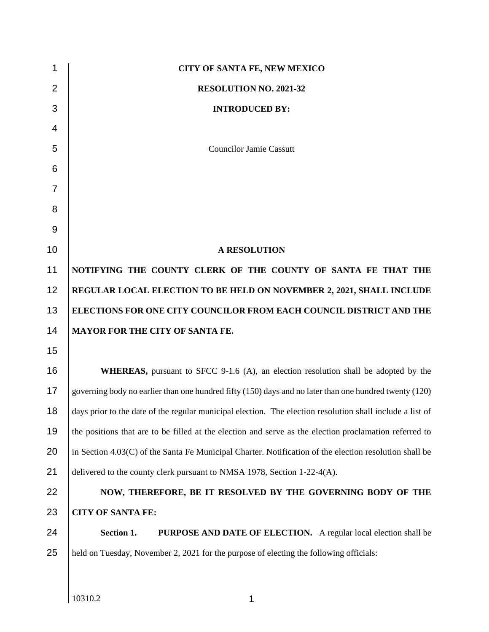| 1              | <b>CITY OF SANTA FE, NEW MEXICO</b>                                                                       |
|----------------|-----------------------------------------------------------------------------------------------------------|
| $\overline{2}$ | RESOLUTION NO. 2021-32                                                                                    |
| 3              | <b>INTRODUCED BY:</b>                                                                                     |
| $\overline{4}$ |                                                                                                           |
| 5              | <b>Councilor Jamie Cassutt</b>                                                                            |
| 6              |                                                                                                           |
| $\overline{7}$ |                                                                                                           |
| 8              |                                                                                                           |
| 9              |                                                                                                           |
| 10             | <b>A RESOLUTION</b>                                                                                       |
| 11             | NOTIFYING THE COUNTY CLERK OF THE COUNTY OF SANTA FE THAT THE                                             |
| 12             | REGULAR LOCAL ELECTION TO BE HELD ON NOVEMBER 2, 2021, SHALL INCLUDE                                      |
| 13             | ELECTIONS FOR ONE CITY COUNCILOR FROM EACH COUNCIL DISTRICT AND THE                                       |
| 14             | MAYOR FOR THE CITY OF SANTA FE.                                                                           |
| 15             |                                                                                                           |
| 16             | <b>WHEREAS</b> , pursuant to SFCC 9-1.6 (A), an election resolution shall be adopted by the               |
| 17             | governing body no earlier than one hundred fifty (150) days and no later than one hundred twenty (120)    |
| 18             | days prior to the date of the regular municipal election. The election resolution shall include a list of |
| 19             | the positions that are to be filled at the election and serve as the election proclamation referred to    |
| 20             | in Section 4.03(C) of the Santa Fe Municipal Charter. Notification of the election resolution shall be    |
| 21             | delivered to the county clerk pursuant to NMSA 1978, Section 1-22-4(A).                                   |
| 22             | NOW, THEREFORE, BE IT RESOLVED BY THE GOVERNING BODY OF THE                                               |
| 23             | <b>CITY OF SANTA FE:</b>                                                                                  |
| 24             | Section 1.<br><b>PURPOSE AND DATE OF ELECTION.</b> A regular local election shall be                      |
| 25             | held on Tuesday, November 2, 2021 for the purpose of electing the following officials:                    |
|                |                                                                                                           |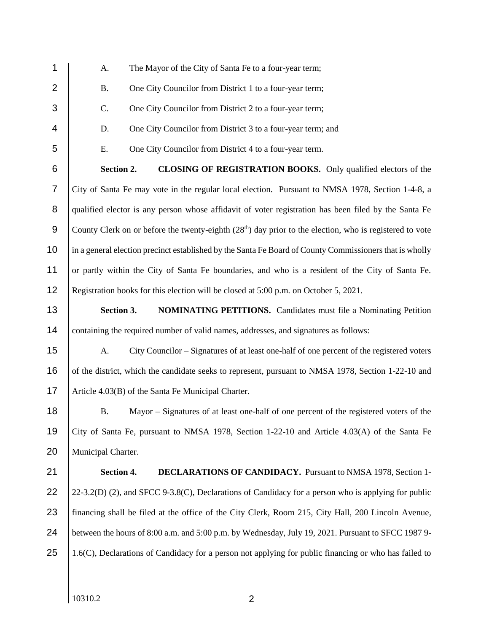| 1                | A.<br>The Mayor of the City of Santa Fe to a four-year term;                                              |  |  |  |  |  |  |
|------------------|-----------------------------------------------------------------------------------------------------------|--|--|--|--|--|--|
| $\overline{2}$   | <b>B.</b><br>One City Councilor from District 1 to a four-year term;                                      |  |  |  |  |  |  |
| 3                | C.<br>One City Councilor from District 2 to a four-year term;                                             |  |  |  |  |  |  |
| 4                | D.<br>One City Councilor from District 3 to a four-year term; and                                         |  |  |  |  |  |  |
| 5                | E.<br>One City Councilor from District 4 to a four-year term.                                             |  |  |  |  |  |  |
| $\,6$            | Section 2.<br>CLOSING OF REGISTRATION BOOKS. Only qualified electors of the                               |  |  |  |  |  |  |
| $\overline{7}$   | City of Santa Fe may vote in the regular local election. Pursuant to NMSA 1978, Section 1-4-8, a          |  |  |  |  |  |  |
| 8                | qualified elector is any person whose affidavit of voter registration has been filed by the Santa Fe      |  |  |  |  |  |  |
| $\boldsymbol{9}$ | County Clerk on or before the twenty-eighth $(28th)$ day prior to the election, who is registered to vote |  |  |  |  |  |  |
| 10               | in a general election precinct established by the Santa Fe Board of County Commissioners that is wholly   |  |  |  |  |  |  |
| 11               | or partly within the City of Santa Fe boundaries, and who is a resident of the City of Santa Fe.          |  |  |  |  |  |  |
| 12               | Registration books for this election will be closed at 5:00 p.m. on October 5, 2021.                      |  |  |  |  |  |  |
| 13               | Section 3.<br><b>NOMINATING PETITIONS.</b> Candidates must file a Nominating Petition                     |  |  |  |  |  |  |
| 14               | containing the required number of valid names, addresses, and signatures as follows:                      |  |  |  |  |  |  |
| 15               | City Councilor – Signatures of at least one-half of one percent of the registered voters<br>A.            |  |  |  |  |  |  |
| 16               | of the district, which the candidate seeks to represent, pursuant to NMSA 1978, Section 1-22-10 and       |  |  |  |  |  |  |
| 17               | Article 4.03(B) of the Santa Fe Municipal Charter.                                                        |  |  |  |  |  |  |
| 18               | Mayor - Signatures of at least one-half of one percent of the registered voters of the<br><b>B.</b>       |  |  |  |  |  |  |
| 19               | City of Santa Fe, pursuant to NMSA 1978, Section 1-22-10 and Article 4.03(A) of the Santa Fe              |  |  |  |  |  |  |
| 20               | Municipal Charter.                                                                                        |  |  |  |  |  |  |
| 21               | Section 4.<br><b>DECLARATIONS OF CANDIDACY.</b> Pursuant to NMSA 1978, Section 1-                         |  |  |  |  |  |  |
| 22               | $22-3.2(D)$ (2), and SFCC 9-3.8(C), Declarations of Candidacy for a person who is applying for public     |  |  |  |  |  |  |
| 23               | financing shall be filed at the office of the City Clerk, Room 215, City Hall, 200 Lincoln Avenue,        |  |  |  |  |  |  |
| 24               | between the hours of 8:00 a.m. and 5:00 p.m. by Wednesday, July 19, 2021. Pursuant to SFCC 1987 9-        |  |  |  |  |  |  |
|                  |                                                                                                           |  |  |  |  |  |  |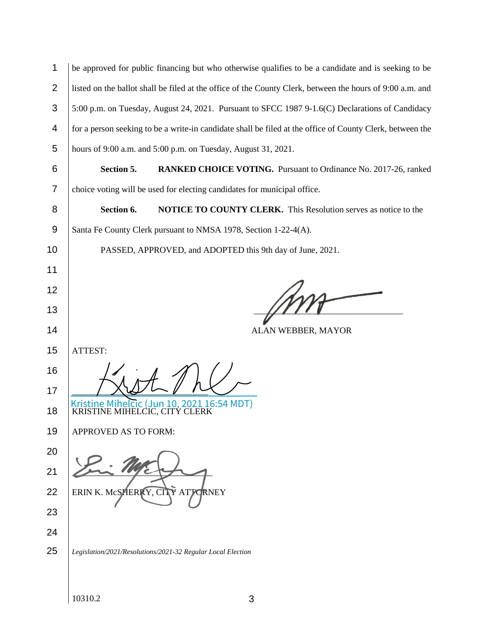| $\mathbf{1}$   | be approved for public financing but who otherwise qualifies to be a candidate and is seeking to be       |  |  |  |  |  |
|----------------|-----------------------------------------------------------------------------------------------------------|--|--|--|--|--|
| $\overline{2}$ | listed on the ballot shall be filed at the office of the County Clerk, between the hours of 9:00 a.m. and |  |  |  |  |  |
| 3              | 5:00 p.m. on Tuesday, August 24, 2021. Pursuant to SFCC 1987 9-1.6(C) Declarations of Candidacy           |  |  |  |  |  |
| 4              | for a person seeking to be a write-in candidate shall be filed at the office of County Clerk, between the |  |  |  |  |  |
| 5              | hours of 9:00 a.m. and 5:00 p.m. on Tuesday, August 31, 2021.                                             |  |  |  |  |  |
| 6              | Section 5.<br>RANKED CHOICE VOTING. Pursuant to Ordinance No. 2017-26, ranked                             |  |  |  |  |  |
| 7              | choice voting will be used for electing candidates for municipal office.                                  |  |  |  |  |  |
| 8              | NOTICE TO COUNTY CLERK. This Resolution serves as notice to the<br>Section 6.                             |  |  |  |  |  |
| 9              | Santa Fe County Clerk pursuant to NMSA 1978, Section 1-22-4(A).                                           |  |  |  |  |  |
| 10             | PASSED, APPROVED, and ADOPTED this 9th day of June, 2021.                                                 |  |  |  |  |  |
| 11             |                                                                                                           |  |  |  |  |  |
| 12             |                                                                                                           |  |  |  |  |  |
| 13             |                                                                                                           |  |  |  |  |  |
|                |                                                                                                           |  |  |  |  |  |
| 14             | ALAN WEBBER, MAYOR                                                                                        |  |  |  |  |  |
| 15             | ATTEST:                                                                                                   |  |  |  |  |  |
| 16             |                                                                                                           |  |  |  |  |  |
| 17             |                                                                                                           |  |  |  |  |  |
| 18             | Kristine Mihelcic (Jun 10, 2021 16:54 MDT)<br>KRISTINE MIHELCIC, CITY CLERK                               |  |  |  |  |  |
| 19             | APPROVED AS TO FORM:                                                                                      |  |  |  |  |  |
| 20             |                                                                                                           |  |  |  |  |  |
| 21             |                                                                                                           |  |  |  |  |  |
| 22             | ERIN K. MCSHERKY, CITY ATTORNEY                                                                           |  |  |  |  |  |
| 23             |                                                                                                           |  |  |  |  |  |
| 24             |                                                                                                           |  |  |  |  |  |
| 25             | Legislation/2021/Resolutions/2021-32 Regular Local Election                                               |  |  |  |  |  |
|                |                                                                                                           |  |  |  |  |  |

 $10310.2$  3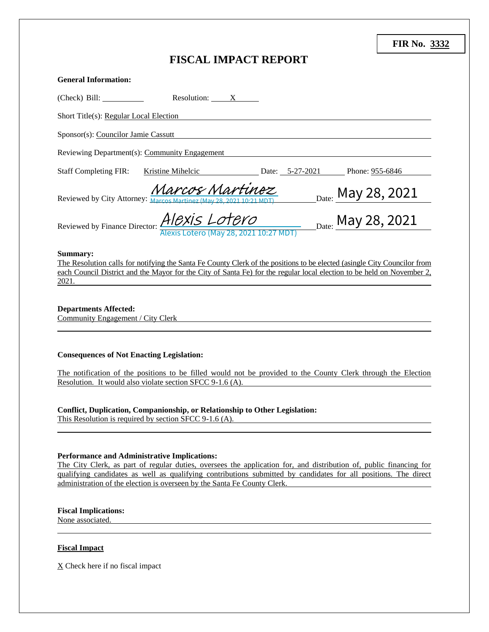| <b>FIR No. 3332</b> |  |
|---------------------|--|
|---------------------|--|

# **FISCAL IMPACT REPORT**

| <b>General Information:</b>                                       |                                                                                                                                         |                                                                                                                                                                                                                                                    |
|-------------------------------------------------------------------|-----------------------------------------------------------------------------------------------------------------------------------------|----------------------------------------------------------------------------------------------------------------------------------------------------------------------------------------------------------------------------------------------------|
| (Check) Bill:                                                     | Resolution: X                                                                                                                           |                                                                                                                                                                                                                                                    |
| Short Title(s): Regular Local Election                            |                                                                                                                                         |                                                                                                                                                                                                                                                    |
| Sponsor(s): Councilor Jamie Cassutt                               |                                                                                                                                         |                                                                                                                                                                                                                                                    |
|                                                                   | Reviewing Department(s): Community Engagement                                                                                           |                                                                                                                                                                                                                                                    |
| <b>Staff Completing FIR:</b>                                      | Kristine Mihelcic Date: 5-27-2021 Phone: 955-6846                                                                                       |                                                                                                                                                                                                                                                    |
| Reviewed by City Attorney: Marcos                                 | Aarcos Martinoz                                                                                                                         |                                                                                                                                                                                                                                                    |
|                                                                   | Reviewed by Finance Director: <i>AICXIS LOTCYO</i><br>Alexis Lotero (May 28, 2021 10:27 MDT)                                            | <sub>Date:</sub> May 28, 2021<br><sub>Date:</sub> May 28, 2021                                                                                                                                                                                     |
| Summary:<br>2021.                                                 |                                                                                                                                         | The Resolution calls for notifying the Santa Fe County Clerk of the positions to be elected (asingle City Councilor from<br>each Council District and the Mayor for the City of Santa Fe) for the regular local election to be held on November 2, |
| <b>Departments Affected:</b><br>Community Engagement / City Clerk |                                                                                                                                         |                                                                                                                                                                                                                                                    |
| <b>Consequences of Not Enacting Legislation:</b>                  | Resolution. It would also violate section SFCC 9-1.6 (A).                                                                               | The notification of the positions to be filled would not be provided to the County Clerk through the Election                                                                                                                                      |
|                                                                   | Conflict, Duplication, Companionship, or Relationship to Other Legislation:<br>This Resolution is required by section SFCC $9-1.6$ (A). |                                                                                                                                                                                                                                                    |
| Performance and Administrative Implications:                      |                                                                                                                                         |                                                                                                                                                                                                                                                    |

The City Clerk, as part of regular duties, oversees the application for, and distribution of, public financing for qualifying candidates as well as qualifying contributions submitted by candidates for all positions. The direct administration of the election is overseen by the Santa Fe County Clerk.

## **Fiscal Implications:**

None associated.

#### **Fiscal Impact**

X Check here if no fiscal impact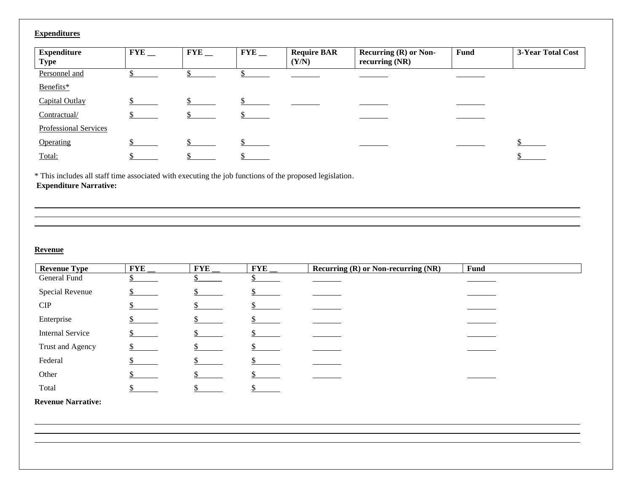# **Expenditures**

| <b>Expenditure</b><br><b>Type</b> | FYE | $FYE$ <sub>--</sub> | $FYE$ __ | <b>Require BAR</b><br>(Y/N) | <b>Recurring (R) or Non-</b><br>recurring $(NR)$ | <b>Fund</b> | 3-Year Total Cost |
|-----------------------------------|-----|---------------------|----------|-----------------------------|--------------------------------------------------|-------------|-------------------|
| Personnel and                     |     |                     |          |                             |                                                  |             |                   |
| Benefits*                         |     |                     |          |                             |                                                  |             |                   |
| Capital Outlay                    |     |                     |          |                             |                                                  |             |                   |
| Contractual/                      |     |                     |          |                             |                                                  |             |                   |
| Professional Services             |     |                     |          |                             |                                                  |             |                   |
| Operating                         |     |                     |          |                             |                                                  |             |                   |
| Total:                            |     |                     |          |                             |                                                  |             |                   |

\* This includes all staff time associated with executing the job functions of the proposed legislation. **Expenditure Narrative:**

## **Revenue**

| <b>Revenue Type</b>     | FYE $_{-}$ | FYE | <b>FYE</b> | Recurring (R) or Non-recurring (NR) | <b>Fund</b> |
|-------------------------|------------|-----|------------|-------------------------------------|-------------|
| General Fund            |            |     |            |                                     |             |
| Special Revenue         |            |     |            |                                     |             |
| CIP                     |            |     |            |                                     |             |
| Enterprise              |            |     |            |                                     |             |
| <b>Internal Service</b> |            |     |            |                                     |             |
| Trust and Agency        |            |     |            |                                     |             |
| Federal                 |            |     |            |                                     |             |
| Other                   |            |     |            |                                     |             |
| Total                   |            |     |            |                                     |             |

**Revenue Narrative:**